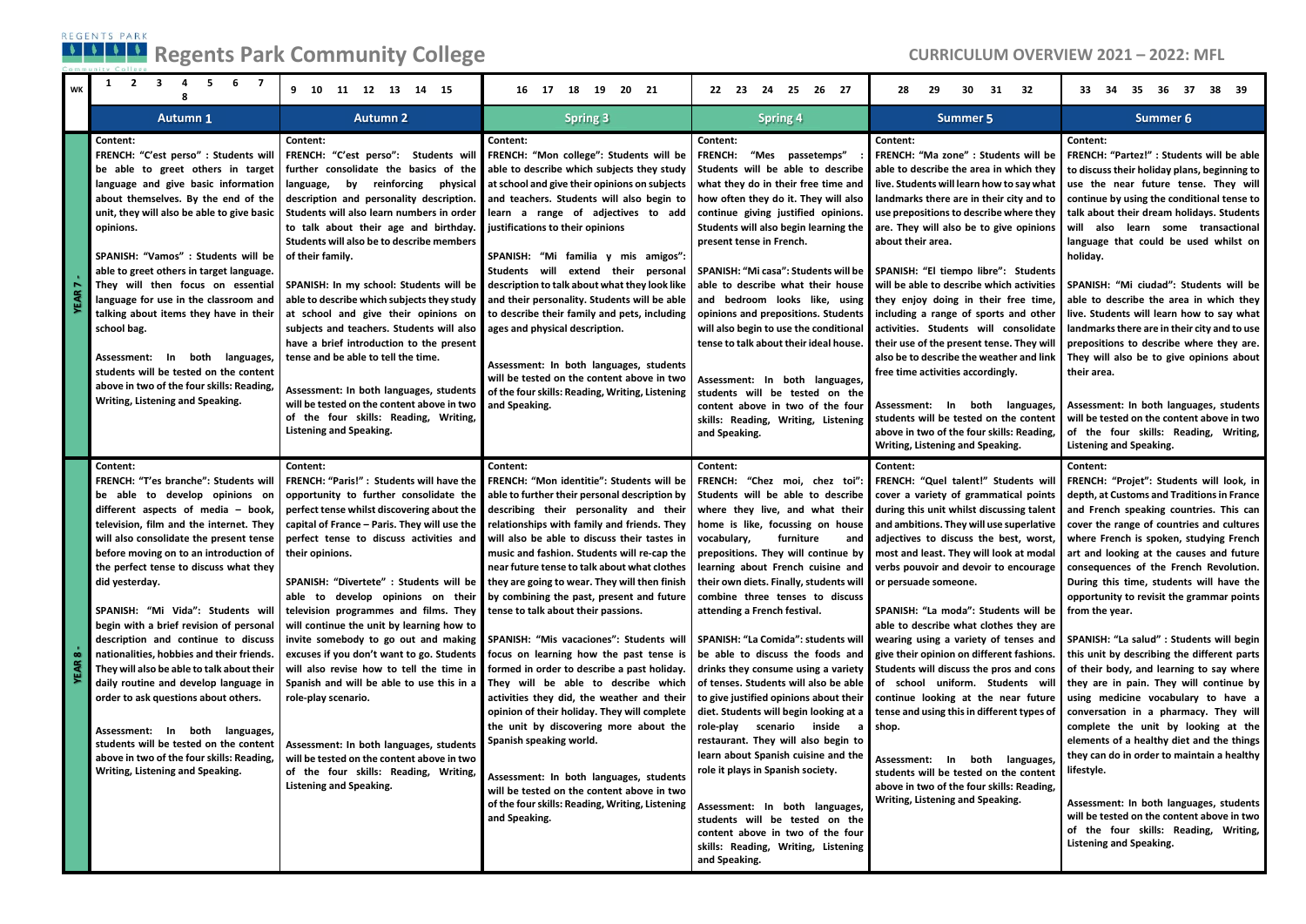## **Regents Park Community College CURRICULUM OVERVIEW 2021 – 2022: MFL**

| $\overline{2}$<br>3<br>5<br>6<br>$\overline{7}$<br>1<br>4<br><b>WK</b>                                                                                                                                                                                                                                                                                                                                                                                                                                                                                                                                                                                                                                                                                              | 11 12 13 14 15<br>9 10                                                                                                                                                                                                                                                                                                                                                                                                                                                                                                                                                                                                                                   | 16 17 18 19 20 21                                                                                                                                                                                                                                                                                                                                                                                                                                                                                                                                                                                                                                                                                                                                                                                                                                                                                                                                                                                                                                                                                                                                                                                                                        | 22 23 24<br>25 26 27                                                                                                                                                                                                                                                                                                                                                                                                                                                                                                                                                     | 28<br>29<br>30<br>31 32                                                                                                                                                                                                                                                                                                                                                                                                                                                                                                                                                                                                                                                                                                                                                                                                                                                                                                                                                                                                                                                                                                    | 35<br>- 36<br>37<br>38 39<br>33.<br>- 34                                                                                                                                                                                                                                                                                                                                                                                                                                                                                                                                                                                                                                                                                                                                                                                                                                                                                                                                                                                      |
|---------------------------------------------------------------------------------------------------------------------------------------------------------------------------------------------------------------------------------------------------------------------------------------------------------------------------------------------------------------------------------------------------------------------------------------------------------------------------------------------------------------------------------------------------------------------------------------------------------------------------------------------------------------------------------------------------------------------------------------------------------------------|----------------------------------------------------------------------------------------------------------------------------------------------------------------------------------------------------------------------------------------------------------------------------------------------------------------------------------------------------------------------------------------------------------------------------------------------------------------------------------------------------------------------------------------------------------------------------------------------------------------------------------------------------------|------------------------------------------------------------------------------------------------------------------------------------------------------------------------------------------------------------------------------------------------------------------------------------------------------------------------------------------------------------------------------------------------------------------------------------------------------------------------------------------------------------------------------------------------------------------------------------------------------------------------------------------------------------------------------------------------------------------------------------------------------------------------------------------------------------------------------------------------------------------------------------------------------------------------------------------------------------------------------------------------------------------------------------------------------------------------------------------------------------------------------------------------------------------------------------------------------------------------------------------|--------------------------------------------------------------------------------------------------------------------------------------------------------------------------------------------------------------------------------------------------------------------------------------------------------------------------------------------------------------------------------------------------------------------------------------------------------------------------------------------------------------------------------------------------------------------------|----------------------------------------------------------------------------------------------------------------------------------------------------------------------------------------------------------------------------------------------------------------------------------------------------------------------------------------------------------------------------------------------------------------------------------------------------------------------------------------------------------------------------------------------------------------------------------------------------------------------------------------------------------------------------------------------------------------------------------------------------------------------------------------------------------------------------------------------------------------------------------------------------------------------------------------------------------------------------------------------------------------------------------------------------------------------------------------------------------------------------|-------------------------------------------------------------------------------------------------------------------------------------------------------------------------------------------------------------------------------------------------------------------------------------------------------------------------------------------------------------------------------------------------------------------------------------------------------------------------------------------------------------------------------------------------------------------------------------------------------------------------------------------------------------------------------------------------------------------------------------------------------------------------------------------------------------------------------------------------------------------------------------------------------------------------------------------------------------------------------------------------------------------------------|
| <b>Autumn 1</b>                                                                                                                                                                                                                                                                                                                                                                                                                                                                                                                                                                                                                                                                                                                                                     | <b>Autumn 2</b>                                                                                                                                                                                                                                                                                                                                                                                                                                                                                                                                                                                                                                          | <b>Spring 3</b>                                                                                                                                                                                                                                                                                                                                                                                                                                                                                                                                                                                                                                                                                                                                                                                                                                                                                                                                                                                                                                                                                                                                                                                                                          | <b>Spring 4</b>                                                                                                                                                                                                                                                                                                                                                                                                                                                                                                                                                          | <b>Summer 5</b>                                                                                                                                                                                                                                                                                                                                                                                                                                                                                                                                                                                                                                                                                                                                                                                                                                                                                                                                                                                                                                                                                                            | Summer 6                                                                                                                                                                                                                                                                                                                                                                                                                                                                                                                                                                                                                                                                                                                                                                                                                                                                                                                                                                                                                      |
| Content:<br>be able to greet others in target<br>language and give basic information<br>about themselves. By the end of the<br>unit, they will also be able to give basic   Students will also learn numbers in order<br>opinions.<br>SPANISH: "Vamos" : Students will be   of their family.<br>able to greet others in target language.<br>They will then focus on essential SPANISH: In my school: Students will be<br>language for use in the classroom and<br>talking about items they have in their<br>school bag.<br>Assessment: In<br>both languages,<br>students will be tested on the content<br>above in two of the four skills: Reading,                                                                                                                 | Content:<br>further consolidate the basics of the<br>by reinforcing physical<br>language,<br>description and personality description.<br>to talk about their age and birthday.<br>Students will also be to describe members<br>able to describe which subjects they study<br>at school and give their opinions on<br>subjects and teachers. Students will also<br>have a brief introduction to the present<br>tense and be able to tell the time.<br>Assessment: In both languages, students                                                                                                                                                             | Content:<br>FRENCH: "C'est perso" : Students will   FRENCH: "C'est perso": Students will   FRENCH: "Mon college": Students will be<br>able to describe which subjects they study<br>at school and give their opinions on subjects<br>and teachers. Students will also begin to<br>learn a range of adjectives to add<br>justifications to their opinions<br>SPANISH: "Mi familia y mis amigos":<br>Students will extend their personal<br>description to talk about what they look like<br>and their personality. Students will be able<br>to describe their family and pets, including<br>ages and physical description.<br>Assessment: In both languages, students<br>will be tested on the content above in two<br>of the four skills: Reading, Writing, Listening                                                                                                                                                                                                                                                                                                                                                                                                                                                                    | Content:<br>"Mes passetemps"<br><b>FRENCH:</b><br>Students will be able to describe<br>what they do in their free time and<br>how often they do it. They will also<br>continue giving justified opinions.<br>Students will also begin learning the<br>present tense in French.<br>able to describe what their house<br>and bedroom looks like, using<br>opinions and prepositions. Students<br>will also begin to use the conditional<br>tense to talk about their ideal house.<br>Assessment: In both languages,<br>students will be tested on the                      | Content:<br><b>FRENCH: "Ma zone" : Students will be</b><br>able to describe the area in which they<br>live. Students will learn how to say what<br>landmarks there are in their city and to<br>use prepositions to describe where they<br>are. They will also be to give opinions<br>about their area.<br>SPANISH: "Mi casa": Students will be SPANISH: "El tiempo libre": Students<br>will be able to describe which activities<br>they enjoy doing in their free time,<br>including a range of sports and other<br>activities. Students will consolidate<br>their use of the present tense. They will<br>also be to describe the weather and link<br>free time activities accordingly.                                                                                                                                                                                                                                                                                                                                                                                                                                   | Content:<br>FRENCH: "Partez!" : Students will be able<br>to discuss their holiday plans, beginning to<br>use the near future tense. They will<br>continue by using the conditional tense to<br>talk about their dream holidays. Students<br>will also learn some transactional<br>language that could be used whilst on<br>holiday.<br>SPANISH: "Mi ciudad": Students will be<br>able to describe the area in which they<br>live. Students will learn how to say what<br>landmarks there are in their city and to use<br>prepositions to describe where they are.<br>They will also be to give opinions about<br>their area.                                                                                                                                                                                                                                                                                                                                                                                                  |
| Writing, Listening and Speaking.                                                                                                                                                                                                                                                                                                                                                                                                                                                                                                                                                                                                                                                                                                                                    | will be tested on the content above in two<br>of the four skills: Reading, Writing,<br><b>Listening and Speaking.</b>                                                                                                                                                                                                                                                                                                                                                                                                                                                                                                                                    | and Speaking.                                                                                                                                                                                                                                                                                                                                                                                                                                                                                                                                                                                                                                                                                                                                                                                                                                                                                                                                                                                                                                                                                                                                                                                                                            | content above in two of the four<br>skills: Reading, Writing, Listening<br>and Speaking.                                                                                                                                                                                                                                                                                                                                                                                                                                                                                 | Assessment: In both languages,<br>students will be tested on the content<br>above in two of the four skills: Reading,<br>Writing, Listening and Speaking.                                                                                                                                                                                                                                                                                                                                                                                                                                                                                                                                                                                                                                                                                                                                                                                                                                                                                                                                                                  | Assessment: In both languages, students<br>will be tested on the content above in two<br>of the four skills: Reading, Writing,<br><b>Listening and Speaking.</b>                                                                                                                                                                                                                                                                                                                                                                                                                                                                                                                                                                                                                                                                                                                                                                                                                                                              |
| Content:<br>FRENCH: "T'es branche": Students will<br>be able to develop opinions on<br>different aspects of media - book,<br>television, film and the internet. They<br>will also consolidate the present tense<br>before moving on to an introduction of   their opinions.<br>the perfect tense to discuss what they<br>did yesterday.<br>SPANISH: "Mi Vida": Students will<br>begin with a brief revision of personal<br>nationalities, hobbies and their friends.<br>They will also be able to talk about their<br>daily routine and develop language in<br>order to ask questions about others.<br>In both languages,<br>Assessment:<br>students will be tested on the content<br>above in two of the four skills: Reading,<br>Writing, Listening and Speaking. | Content:<br>FRENCH: "Paris!" : Students will have the<br>opportunity to further consolidate the<br>perfect tense whilst discovering about the<br>capital of France - Paris. They will use the<br>perfect tense to discuss activities and<br>television programmes and films. They<br>will continue the unit by learning how to<br>excuses if you don't want to go. Students<br>will also revise how to tell the time in<br>Spanish and will be able to use this in a<br>role-play scenario.<br>Assessment: In both languages, students<br>will be tested on the content above in two<br>of the four skills: Reading, Writing,<br>Listening and Speaking. | Content:<br><b>FRENCH: "Mon identitie": Students will be</b><br>able to further their personal description by<br>describing their personality and their<br>relationships with family and friends. They<br>will also be able to discuss their tastes in<br>music and fashion. Students will re-cap the<br>near future tense to talk about what clothes   learning about French cuisine and   verbs pouvoir and devoir to encourage<br>SPANISH: "Divertete" : Students will be they are going to wear. They will then finish<br>able to develop opinions on their by combining the past, present and future<br>tense to talk about their passions.<br>description and continue to discuss   invite somebody to go out and making SPANISH: "Mis vacaciones": Students will<br>focus on learning how the past tense is<br>formed in order to describe a past holiday.<br>They will be able to describe which<br>activities they did, the weather and their<br>opinion of their holiday. They will complete<br>the unit by discovering more about the<br>Spanish speaking world.<br>Assessment: In both languages, students<br>will be tested on the content above in two<br>of the four skills: Reading, Writing, Listening<br>and Speaking. | Content:<br>Students will be able to describe<br>home is like, focussing on house<br>vocabulary,<br>furniture<br>their own diets. Finally, students will or persuade someone.<br>combine three tenses to discuss<br>attending a French festival.<br>role-play scenario inside a shop.<br>restaurant. They will also begin to<br>learn about Spanish cuisine and the<br>role it plays in Spanish society.<br>Assessment: In both languages,<br>students will be tested on the<br>content above in two of the four<br>skills: Reading, Writing, Listening<br>and Speaking. | Content:<br>FRENCH: "Chez moi, chez toi": FRENCH: "Quel talent!" Students will<br>cover a variety of grammatical points<br>where they live, and what their during this unit whilst discussing talent<br>and ambitions. They will use superlative<br>and adjectives to discuss the best, worst,<br>prepositions. They will continue by most and least. They will look at modal<br>SPANISH: "La moda": Students will be<br>able to describe what clothes they are<br>SPANISH: "La Comida": students will wearing using a variety of tenses and<br>be able to discuss the foods and give their opinion on different fashions.<br>drinks they consume using a variety <b>Students will discuss the pros</b> and cons<br>of tenses. Students will also be able of school uniform. Students will<br>to give justified opinions about their continue looking at the near future<br>diet. Students will begin looking at a tense and using this in different types of<br>Assessment: In both languages,<br>students will be tested on the content<br>above in two of the four skills: Reading,<br>Writing, Listening and Speaking. | Content:<br>FRENCH: "Projet": Students will look, in<br>depth, at Customs and Traditions in France<br>and French speaking countries. This can<br>cover the range of countries and cultures<br>where French is spoken, studying French<br>art and looking at the causes and future<br>consequences of the French Revolution.<br>During this time, students will have the<br>opportunity to revisit the grammar points<br>from the year.<br>SPANISH: "La salud" : Students will begin<br>this unit by describing the different parts<br>of their body, and learning to say where<br>they are in pain. They will continue by<br>using medicine vocabulary to have a<br>conversation in a pharmacy. They will<br>complete the unit by looking at the<br>elements of a healthy diet and the things<br>they can do in order to maintain a healthy<br>lifestyle.<br>Assessment: In both languages, students<br>will be tested on the content above in two<br>of the four skills: Reading, Writing,<br><b>Listening and Speaking.</b> |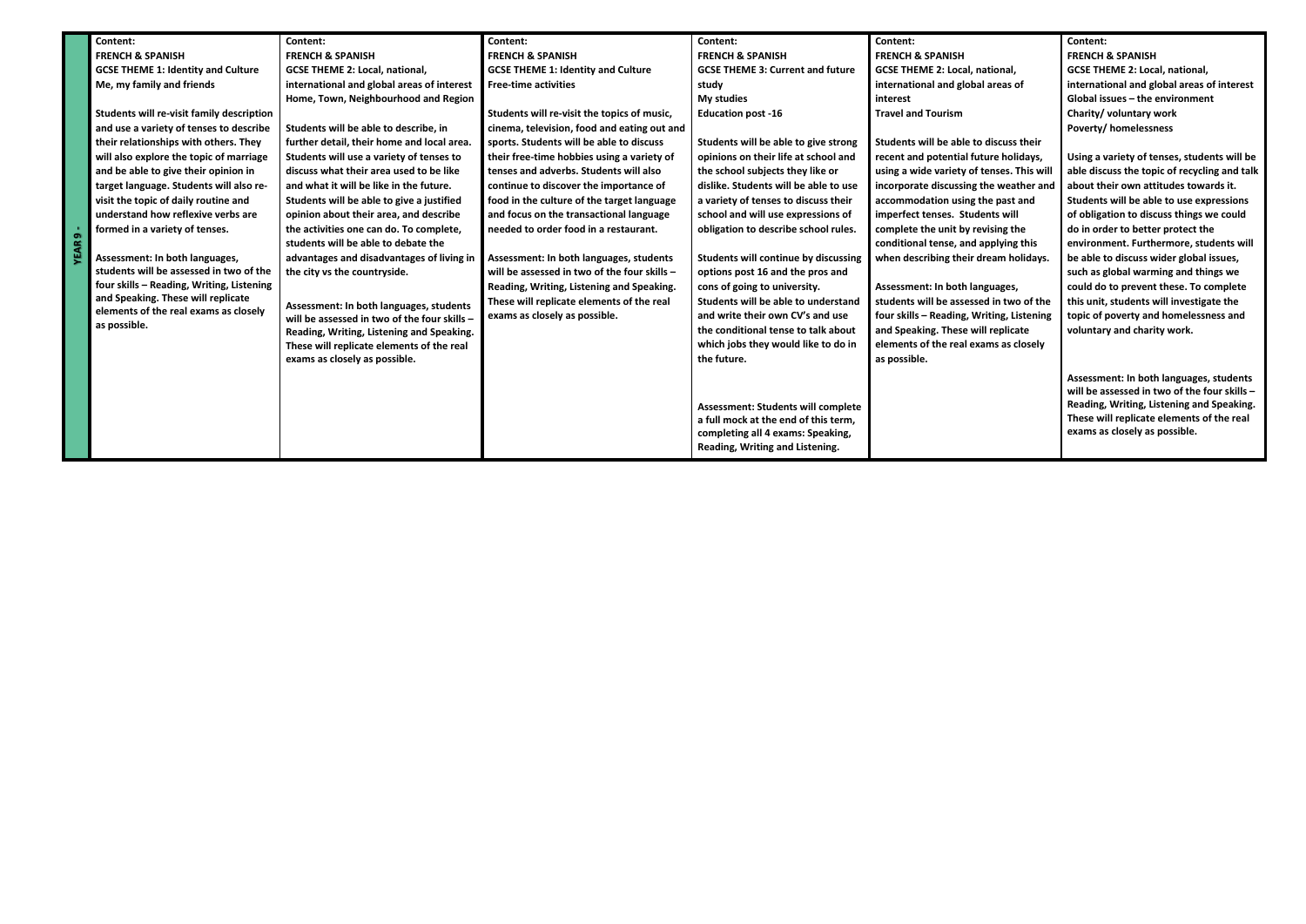| Content:<br>Content:<br>Content:<br>Content:<br>Content:<br>Content:<br><b>FRENCH &amp; SPANISH</b><br><b>FRENCH &amp; SPANISH</b><br><b>FRENCH &amp; SPANISH</b><br><b>FRENCH &amp; SPANISH</b><br><b>FRENCH &amp; SPANISH</b><br><b>GCSE THEME 1: Identity and Culture</b><br><b>GCSE THEME 2: Local, national,</b><br><b>GCSE THEME 1: Identity and Culture</b><br><b>GCSE THEME 3: Current and future</b><br><b>GCSE THEME 2: Local, national,</b><br>Me, my family and friends<br>international and global areas of interest<br>international and global areas of<br><b>Free-time activities</b><br>study<br>My studies<br>Home, Town, Neighbourhood and Region<br>interest<br>Students will re-visit family description<br>Students will re-visit the topics of music,<br><b>Travel and Tourism</b><br><b>Education post -16</b><br>Students will be able to describe, in<br>and use a variety of tenses to describe<br>cinema, television, food and eating out and<br>their relationships with others. They<br>sports. Students will be able to discuss<br>Students will be able to give strong<br>Students will be able to discuss their<br>further detail, their home and local area.<br>Students will use a variety of tenses to<br>their free-time hobbies using a variety of<br>opinions on their life at school and<br>will also explore the topic of marriage<br>recent and potential future holidays,<br>discuss what their area used to be like<br>tenses and adverbs. Students will also<br>and be able to give their opinion in<br>the school subjects they like or<br>using a wide variety of tenses. This will<br>target language. Students will also re-<br>and what it will be like in the future.<br>continue to discover the importance of<br>dislike. Students will be able to use<br>incorporate discussing the weather and<br>visit the topic of daily routine and<br>Students will be able to give a justified<br>food in the culture of the target language<br>a variety of tenses to discuss their<br>accommodation using the past and<br>understand how reflexive verbs are<br>school and will use expressions of<br>opinion about their area, and describe<br>and focus on the transactional language<br>imperfect tenses. Students will<br>needed to order food in a restaurant.<br>complete the unit by revising the<br>formed in a variety of tenses.<br>the activities one can do. To complete,<br>obligation to describe school rules.<br>o.<br>students will be able to debate the<br>conditional tense, and applying this<br>Assessment: In both languages,<br>Assessment: In both languages, students<br><b>Students will continue by discussing</b><br>when describing their dream holidays.<br>advantages and disadvantages of living in |                                              |
|------------------------------------------------------------------------------------------------------------------------------------------------------------------------------------------------------------------------------------------------------------------------------------------------------------------------------------------------------------------------------------------------------------------------------------------------------------------------------------------------------------------------------------------------------------------------------------------------------------------------------------------------------------------------------------------------------------------------------------------------------------------------------------------------------------------------------------------------------------------------------------------------------------------------------------------------------------------------------------------------------------------------------------------------------------------------------------------------------------------------------------------------------------------------------------------------------------------------------------------------------------------------------------------------------------------------------------------------------------------------------------------------------------------------------------------------------------------------------------------------------------------------------------------------------------------------------------------------------------------------------------------------------------------------------------------------------------------------------------------------------------------------------------------------------------------------------------------------------------------------------------------------------------------------------------------------------------------------------------------------------------------------------------------------------------------------------------------------------------------------------------------------------------------------------------------------------------------------------------------------------------------------------------------------------------------------------------------------------------------------------------------------------------------------------------------------------------------------------------------------------------------------------------------------------------------------------------------------------------------------------------------------------------------------------------------------------------------------------------------------------------------------------------|----------------------------------------------|
|                                                                                                                                                                                                                                                                                                                                                                                                                                                                                                                                                                                                                                                                                                                                                                                                                                                                                                                                                                                                                                                                                                                                                                                                                                                                                                                                                                                                                                                                                                                                                                                                                                                                                                                                                                                                                                                                                                                                                                                                                                                                                                                                                                                                                                                                                                                                                                                                                                                                                                                                                                                                                                                                                                                                                                                    |                                              |
|                                                                                                                                                                                                                                                                                                                                                                                                                                                                                                                                                                                                                                                                                                                                                                                                                                                                                                                                                                                                                                                                                                                                                                                                                                                                                                                                                                                                                                                                                                                                                                                                                                                                                                                                                                                                                                                                                                                                                                                                                                                                                                                                                                                                                                                                                                                                                                                                                                                                                                                                                                                                                                                                                                                                                                                    | <b>FRENCH &amp; SPANISH</b>                  |
|                                                                                                                                                                                                                                                                                                                                                                                                                                                                                                                                                                                                                                                                                                                                                                                                                                                                                                                                                                                                                                                                                                                                                                                                                                                                                                                                                                                                                                                                                                                                                                                                                                                                                                                                                                                                                                                                                                                                                                                                                                                                                                                                                                                                                                                                                                                                                                                                                                                                                                                                                                                                                                                                                                                                                                                    | <b>GCSE THEME 2: Local, national,</b>        |
|                                                                                                                                                                                                                                                                                                                                                                                                                                                                                                                                                                                                                                                                                                                                                                                                                                                                                                                                                                                                                                                                                                                                                                                                                                                                                                                                                                                                                                                                                                                                                                                                                                                                                                                                                                                                                                                                                                                                                                                                                                                                                                                                                                                                                                                                                                                                                                                                                                                                                                                                                                                                                                                                                                                                                                                    | international and global areas of interest   |
|                                                                                                                                                                                                                                                                                                                                                                                                                                                                                                                                                                                                                                                                                                                                                                                                                                                                                                                                                                                                                                                                                                                                                                                                                                                                                                                                                                                                                                                                                                                                                                                                                                                                                                                                                                                                                                                                                                                                                                                                                                                                                                                                                                                                                                                                                                                                                                                                                                                                                                                                                                                                                                                                                                                                                                                    | Global issues - the environment              |
|                                                                                                                                                                                                                                                                                                                                                                                                                                                                                                                                                                                                                                                                                                                                                                                                                                                                                                                                                                                                                                                                                                                                                                                                                                                                                                                                                                                                                                                                                                                                                                                                                                                                                                                                                                                                                                                                                                                                                                                                                                                                                                                                                                                                                                                                                                                                                                                                                                                                                                                                                                                                                                                                                                                                                                                    | Charity/ voluntary work                      |
|                                                                                                                                                                                                                                                                                                                                                                                                                                                                                                                                                                                                                                                                                                                                                                                                                                                                                                                                                                                                                                                                                                                                                                                                                                                                                                                                                                                                                                                                                                                                                                                                                                                                                                                                                                                                                                                                                                                                                                                                                                                                                                                                                                                                                                                                                                                                                                                                                                                                                                                                                                                                                                                                                                                                                                                    | <b>Poverty/homelessness</b>                  |
|                                                                                                                                                                                                                                                                                                                                                                                                                                                                                                                                                                                                                                                                                                                                                                                                                                                                                                                                                                                                                                                                                                                                                                                                                                                                                                                                                                                                                                                                                                                                                                                                                                                                                                                                                                                                                                                                                                                                                                                                                                                                                                                                                                                                                                                                                                                                                                                                                                                                                                                                                                                                                                                                                                                                                                                    |                                              |
|                                                                                                                                                                                                                                                                                                                                                                                                                                                                                                                                                                                                                                                                                                                                                                                                                                                                                                                                                                                                                                                                                                                                                                                                                                                                                                                                                                                                                                                                                                                                                                                                                                                                                                                                                                                                                                                                                                                                                                                                                                                                                                                                                                                                                                                                                                                                                                                                                                                                                                                                                                                                                                                                                                                                                                                    | Using a variety of tenses, students will be  |
|                                                                                                                                                                                                                                                                                                                                                                                                                                                                                                                                                                                                                                                                                                                                                                                                                                                                                                                                                                                                                                                                                                                                                                                                                                                                                                                                                                                                                                                                                                                                                                                                                                                                                                                                                                                                                                                                                                                                                                                                                                                                                                                                                                                                                                                                                                                                                                                                                                                                                                                                                                                                                                                                                                                                                                                    | able discuss the topic of recycling and talk |
|                                                                                                                                                                                                                                                                                                                                                                                                                                                                                                                                                                                                                                                                                                                                                                                                                                                                                                                                                                                                                                                                                                                                                                                                                                                                                                                                                                                                                                                                                                                                                                                                                                                                                                                                                                                                                                                                                                                                                                                                                                                                                                                                                                                                                                                                                                                                                                                                                                                                                                                                                                                                                                                                                                                                                                                    | about their own attitudes towards it.        |
|                                                                                                                                                                                                                                                                                                                                                                                                                                                                                                                                                                                                                                                                                                                                                                                                                                                                                                                                                                                                                                                                                                                                                                                                                                                                                                                                                                                                                                                                                                                                                                                                                                                                                                                                                                                                                                                                                                                                                                                                                                                                                                                                                                                                                                                                                                                                                                                                                                                                                                                                                                                                                                                                                                                                                                                    | Students will be able to use expressions     |
|                                                                                                                                                                                                                                                                                                                                                                                                                                                                                                                                                                                                                                                                                                                                                                                                                                                                                                                                                                                                                                                                                                                                                                                                                                                                                                                                                                                                                                                                                                                                                                                                                                                                                                                                                                                                                                                                                                                                                                                                                                                                                                                                                                                                                                                                                                                                                                                                                                                                                                                                                                                                                                                                                                                                                                                    | of obligation to discuss things we could     |
|                                                                                                                                                                                                                                                                                                                                                                                                                                                                                                                                                                                                                                                                                                                                                                                                                                                                                                                                                                                                                                                                                                                                                                                                                                                                                                                                                                                                                                                                                                                                                                                                                                                                                                                                                                                                                                                                                                                                                                                                                                                                                                                                                                                                                                                                                                                                                                                                                                                                                                                                                                                                                                                                                                                                                                                    | do in order to better protect the            |
|                                                                                                                                                                                                                                                                                                                                                                                                                                                                                                                                                                                                                                                                                                                                                                                                                                                                                                                                                                                                                                                                                                                                                                                                                                                                                                                                                                                                                                                                                                                                                                                                                                                                                                                                                                                                                                                                                                                                                                                                                                                                                                                                                                                                                                                                                                                                                                                                                                                                                                                                                                                                                                                                                                                                                                                    | environment. Furthermore, students will      |
|                                                                                                                                                                                                                                                                                                                                                                                                                                                                                                                                                                                                                                                                                                                                                                                                                                                                                                                                                                                                                                                                                                                                                                                                                                                                                                                                                                                                                                                                                                                                                                                                                                                                                                                                                                                                                                                                                                                                                                                                                                                                                                                                                                                                                                                                                                                                                                                                                                                                                                                                                                                                                                                                                                                                                                                    | be able to discuss wider global issues,      |
| students will be assessed in two of the<br>will be assessed in two of the four skills -<br>the city vs the countryside.<br>options post 16 and the pros and                                                                                                                                                                                                                                                                                                                                                                                                                                                                                                                                                                                                                                                                                                                                                                                                                                                                                                                                                                                                                                                                                                                                                                                                                                                                                                                                                                                                                                                                                                                                                                                                                                                                                                                                                                                                                                                                                                                                                                                                                                                                                                                                                                                                                                                                                                                                                                                                                                                                                                                                                                                                                        | such as global warming and things we         |
| four skills - Reading, Writing, Listening<br>Reading, Writing, Listening and Speaking.<br>Assessment: In both languages,<br>cons of going to university.                                                                                                                                                                                                                                                                                                                                                                                                                                                                                                                                                                                                                                                                                                                                                                                                                                                                                                                                                                                                                                                                                                                                                                                                                                                                                                                                                                                                                                                                                                                                                                                                                                                                                                                                                                                                                                                                                                                                                                                                                                                                                                                                                                                                                                                                                                                                                                                                                                                                                                                                                                                                                           | could do to prevent these. To complete       |
| and Speaking. These will replicate<br>students will be assessed in two of the<br>These will replicate elements of the real<br>Students will be able to understand<br>Assessment: In both languages, students                                                                                                                                                                                                                                                                                                                                                                                                                                                                                                                                                                                                                                                                                                                                                                                                                                                                                                                                                                                                                                                                                                                                                                                                                                                                                                                                                                                                                                                                                                                                                                                                                                                                                                                                                                                                                                                                                                                                                                                                                                                                                                                                                                                                                                                                                                                                                                                                                                                                                                                                                                       | this unit, students will investigate the     |
| elements of the real exams as closely<br>and write their own CV's and use<br>four skills - Reading, Writing, Listening<br>exams as closely as possible.<br>will be assessed in two of the four skills -                                                                                                                                                                                                                                                                                                                                                                                                                                                                                                                                                                                                                                                                                                                                                                                                                                                                                                                                                                                                                                                                                                                                                                                                                                                                                                                                                                                                                                                                                                                                                                                                                                                                                                                                                                                                                                                                                                                                                                                                                                                                                                                                                                                                                                                                                                                                                                                                                                                                                                                                                                            | topic of poverty and homelessness and        |
| as possible.<br>the conditional tense to talk about<br>and Speaking. These will replicate<br>Reading, Writing, Listening and Speaking.                                                                                                                                                                                                                                                                                                                                                                                                                                                                                                                                                                                                                                                                                                                                                                                                                                                                                                                                                                                                                                                                                                                                                                                                                                                                                                                                                                                                                                                                                                                                                                                                                                                                                                                                                                                                                                                                                                                                                                                                                                                                                                                                                                                                                                                                                                                                                                                                                                                                                                                                                                                                                                             | voluntary and charity work.                  |
| which jobs they would like to do in<br>elements of the real exams as closely<br>These will replicate elements of the real                                                                                                                                                                                                                                                                                                                                                                                                                                                                                                                                                                                                                                                                                                                                                                                                                                                                                                                                                                                                                                                                                                                                                                                                                                                                                                                                                                                                                                                                                                                                                                                                                                                                                                                                                                                                                                                                                                                                                                                                                                                                                                                                                                                                                                                                                                                                                                                                                                                                                                                                                                                                                                                          |                                              |
| the future.<br>as possible.<br>exams as closely as possible.                                                                                                                                                                                                                                                                                                                                                                                                                                                                                                                                                                                                                                                                                                                                                                                                                                                                                                                                                                                                                                                                                                                                                                                                                                                                                                                                                                                                                                                                                                                                                                                                                                                                                                                                                                                                                                                                                                                                                                                                                                                                                                                                                                                                                                                                                                                                                                                                                                                                                                                                                                                                                                                                                                                       |                                              |
|                                                                                                                                                                                                                                                                                                                                                                                                                                                                                                                                                                                                                                                                                                                                                                                                                                                                                                                                                                                                                                                                                                                                                                                                                                                                                                                                                                                                                                                                                                                                                                                                                                                                                                                                                                                                                                                                                                                                                                                                                                                                                                                                                                                                                                                                                                                                                                                                                                                                                                                                                                                                                                                                                                                                                                                    | Assessment: In both languages, students      |
|                                                                                                                                                                                                                                                                                                                                                                                                                                                                                                                                                                                                                                                                                                                                                                                                                                                                                                                                                                                                                                                                                                                                                                                                                                                                                                                                                                                                                                                                                                                                                                                                                                                                                                                                                                                                                                                                                                                                                                                                                                                                                                                                                                                                                                                                                                                                                                                                                                                                                                                                                                                                                                                                                                                                                                                    | will be assessed in two of the four skills - |
| <b>Assessment: Students will complete</b>                                                                                                                                                                                                                                                                                                                                                                                                                                                                                                                                                                                                                                                                                                                                                                                                                                                                                                                                                                                                                                                                                                                                                                                                                                                                                                                                                                                                                                                                                                                                                                                                                                                                                                                                                                                                                                                                                                                                                                                                                                                                                                                                                                                                                                                                                                                                                                                                                                                                                                                                                                                                                                                                                                                                          | Reading, Writing, Listening and Speaking.    |
| a full mock at the end of this term,                                                                                                                                                                                                                                                                                                                                                                                                                                                                                                                                                                                                                                                                                                                                                                                                                                                                                                                                                                                                                                                                                                                                                                                                                                                                                                                                                                                                                                                                                                                                                                                                                                                                                                                                                                                                                                                                                                                                                                                                                                                                                                                                                                                                                                                                                                                                                                                                                                                                                                                                                                                                                                                                                                                                               | These will replicate elements of the real    |
| completing all 4 exams: Speaking,                                                                                                                                                                                                                                                                                                                                                                                                                                                                                                                                                                                                                                                                                                                                                                                                                                                                                                                                                                                                                                                                                                                                                                                                                                                                                                                                                                                                                                                                                                                                                                                                                                                                                                                                                                                                                                                                                                                                                                                                                                                                                                                                                                                                                                                                                                                                                                                                                                                                                                                                                                                                                                                                                                                                                  | exams as closely as possible.                |
| Reading, Writing and Listening.                                                                                                                                                                                                                                                                                                                                                                                                                                                                                                                                                                                                                                                                                                                                                                                                                                                                                                                                                                                                                                                                                                                                                                                                                                                                                                                                                                                                                                                                                                                                                                                                                                                                                                                                                                                                                                                                                                                                                                                                                                                                                                                                                                                                                                                                                                                                                                                                                                                                                                                                                                                                                                                                                                                                                    |                                              |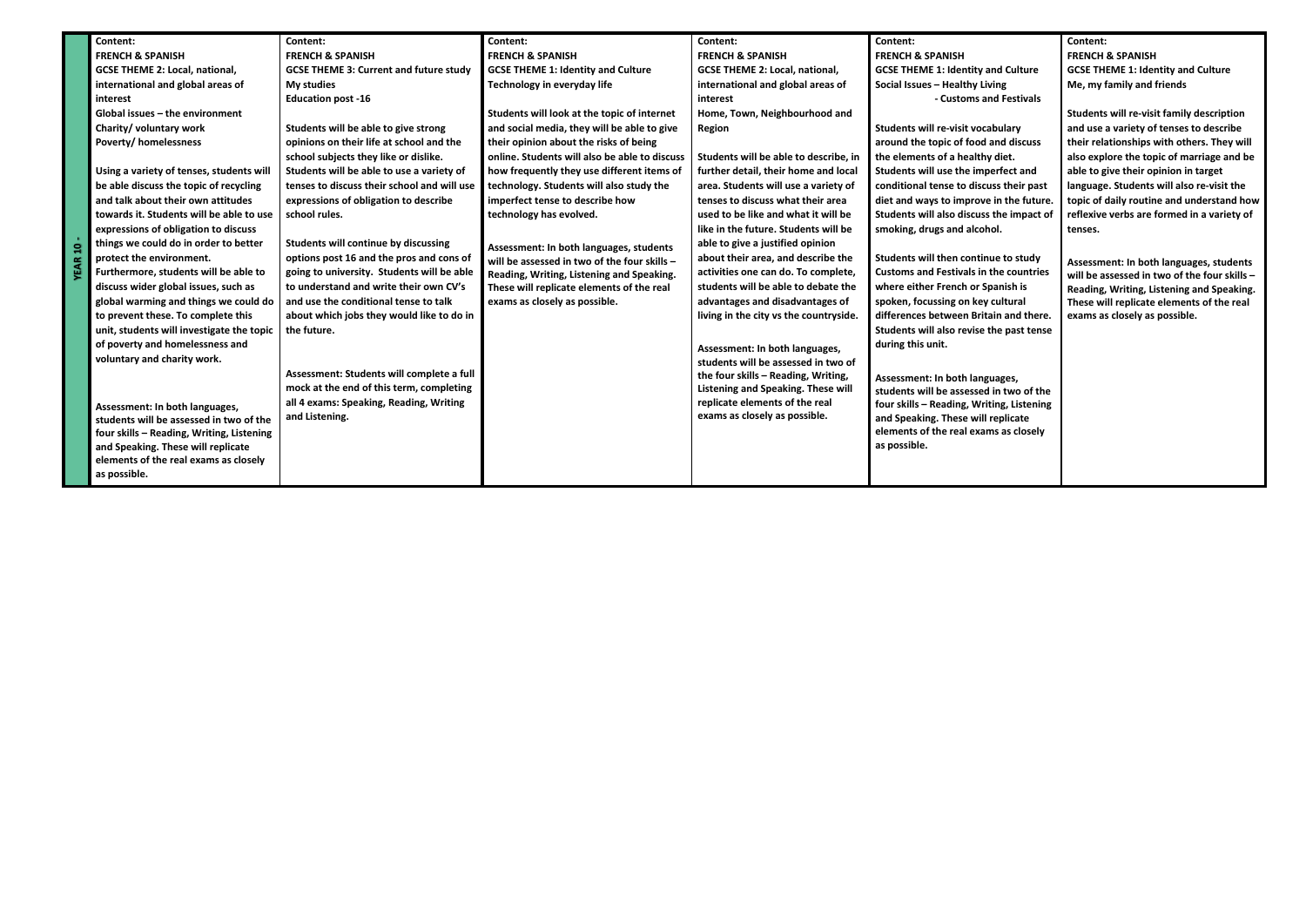|  | Content:                                  | Content:                                      | Content:                                      | Content:                               | Content:                                      | Content:                                         |
|--|-------------------------------------------|-----------------------------------------------|-----------------------------------------------|----------------------------------------|-----------------------------------------------|--------------------------------------------------|
|  | <b>FRENCH &amp; SPANISH</b>               | <b>FRENCH &amp; SPANISH</b>                   | <b>FRENCH &amp; SPANISH</b>                   | <b>FRENCH &amp; SPANISH</b>            | <b>FRENCH &amp; SPANISH</b>                   | <b>FRENCH &amp; SPANISH</b>                      |
|  | <b>GCSE THEME 2: Local, national,</b>     | <b>GCSE THEME 3: Current and future study</b> | <b>GCSE THEME 1: Identity and Culture</b>     | <b>GCSE THEME 2: Local, national,</b>  | <b>GCSE THEME 1: Identity and Culture</b>     | <b>GCSE THEME 1: Identity and Culture</b>        |
|  | international and global areas of         | My studies                                    | Technology in everyday life                   | international and global areas of      | Social Issues - Healthy Living                | Me, my family and friends                        |
|  | interest                                  | <b>Education post -16</b>                     |                                               | interest                               | - Customs and Festivals                       |                                                  |
|  | Global issues - the environment           |                                               | Students will look at the topic of internet   | Home, Town, Neighbourhood and          |                                               | <b>Students will re-visit family description</b> |
|  | Charity/ voluntary work                   | Students will be able to give strong          | and social media, they will be able to give   | Region                                 | Students will re-visit vocabulary             | and use a variety of tenses to describe          |
|  | <b>Poverty/ homelessness</b>              | opinions on their life at school and the      | their opinion about the risks of being        |                                        | around the topic of food and discuss          | their relationships with others. They will       |
|  |                                           | school subjects they like or dislike.         | online. Students will also be able to discuss | Students will be able to describe, in  | the elements of a healthy diet.               | also explore the topic of marriage and be        |
|  | Using a variety of tenses, students will  | Students will be able to use a variety of     | how frequently they use different items of    | further detail, their home and local   | Students will use the imperfect and           | able to give their opinion in target             |
|  | be able discuss the topic of recycling    | tenses to discuss their school and will use   | technology. Students will also study the      | area. Students will use a variety of   | conditional tense to discuss their past       | language. Students will also re-visit the        |
|  | and talk about their own attitudes        | expressions of obligation to describe         | imperfect tense to describe how               | tenses to discuss what their area      | diet and ways to improve in the future.       | topic of daily routine and understand how        |
|  | towards it. Students will be able to use  | school rules.                                 | technology has evolved.                       | used to be like and what it will be    | Students will also discuss the impact of      | reflexive verbs are formed in a variety of       |
|  | expressions of obligation to discuss      |                                               |                                               | like in the future. Students will be   | smoking, drugs and alcohol.                   | tenses.                                          |
|  | things we could do in order to better     | Students will continue by discussing          | Assessment: In both languages, students       | able to give a justified opinion       |                                               |                                                  |
|  | protect the environment.                  | options post 16 and the pros and cons of      | will be assessed in two of the four skills -  | about their area, and describe the     | Students will then continue to study          | Assessment: In both languages, students          |
|  | Furthermore, students will be able to     | going to university. Students will be able    | Reading, Writing, Listening and Speaking.     | activities one can do. To complete,    | <b>Customs and Festivals in the countries</b> | will be assessed in two of the four skills -     |
|  | discuss wider global issues, such as      | to understand and write their own CV's        | These will replicate elements of the real     | students will be able to debate the    | where either French or Spanish is             | Reading, Writing, Listening and Speaking.        |
|  | global warming and things we could do     | and use the conditional tense to talk         | exams as closely as possible.                 | advantages and disadvantages of        | spoken, focussing on key cultural             | These will replicate elements of the real        |
|  | to prevent these. To complete this        | about which jobs they would like to do in     |                                               | living in the city vs the countryside. | differences between Britain and there.        | exams as closely as possible.                    |
|  | unit, students will investigate the topic | the future.                                   |                                               |                                        | Students will also revise the past tense      |                                                  |
|  | of poverty and homelessness and           |                                               |                                               | Assessment: In both languages,         | during this unit.                             |                                                  |
|  | voluntary and charity work.               |                                               |                                               | students will be assessed in two of    |                                               |                                                  |
|  |                                           | Assessment: Students will complete a full     |                                               | the four skills - Reading, Writing,    | Assessment: In both languages,                |                                                  |
|  |                                           | mock at the end of this term, completing      |                                               | Listening and Speaking. These will     | students will be assessed in two of the       |                                                  |
|  | Assessment: In both languages,            | all 4 exams: Speaking, Reading, Writing       |                                               | replicate elements of the real         | four skills - Reading, Writing, Listening     |                                                  |
|  | students will be assessed in two of the   | and Listening.                                |                                               | exams as closely as possible.          | and Speaking. These will replicate            |                                                  |
|  | four skills - Reading, Writing, Listening |                                               |                                               |                                        | elements of the real exams as closely         |                                                  |
|  | and Speaking. These will replicate        |                                               |                                               |                                        | as possible.                                  |                                                  |
|  | elements of the real exams as closely     |                                               |                                               |                                        |                                               |                                                  |
|  | as possible.                              |                                               |                                               |                                        |                                               |                                                  |